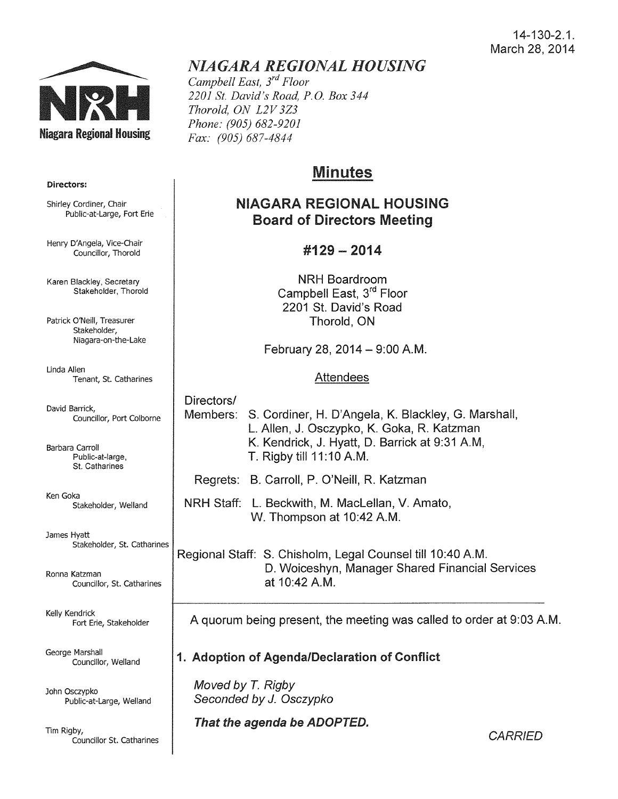#### 14-130-2.1. March 28, 2014



# *NIAGARA REGIONAL HOUSING*

*Campbell East, 3rd Floor 2201 St. David's Road, P.O. Box 344 Thorold, ON L2V 3Z3 Phone: (905) 682-9201 Fax: (905) 687-4844* 

## Minutes

## NIAGARA REGIONAL HOUSING Board of Directors Meeting

## #129- 2014

NRH Boardroom Campbell East, 3<sup>rd</sup> Floor 2201 St. David's Road Thorold, ON

February 28, 2014  $-$  9:00 A.M.

## Attendees

Directors/ Members: S. Cordiner, H. D'Angela, K. Blackley, G. Marshall, L. Allen, J. Osczypko, K. Goka, R. Katzman K. Kendrick, J. Hyatt, D. Barrick at 9:31 AM, T. Rigby till 11:10 A.M.

Regrets: B. Carroll, P. O'Neill, R. Katzman

NRH Staff: L. Beckwith, M. Maclellan, V. Amato, W. Thompson at 10:42 A.M.

Regional Staff: S. Chisholm, Legal Counsel till 10:40 A.M. D. Woiceshyn, Manager Shared Financial Services at 10:42 A.M.

A quorum being present, the meeting was called to order at 9:03A.M.

## 1. Adoption of Agenda/Declaration of Conflict

Moved by *T.* Rigby Seconded by J. Osczypko

That the agenda be ADOPTED.

Directors:

Shirley Cordiner, Chair Public-at-Large, Fort Erie

Henry D'Angela, Vice-Chair Councillor, Thorold

Karen Blackley, Secretary Stakeholder, Thorold

Patrick O'Neill, Treasurer Stakeholder, Niagara-on-the-Lake

Linda Allen Tenant, St. Catharines

David Barrick, Councillor, Port Colborne

Barbara Carroll Public-at-large, St. Catharines

Ken Goka Stakeholder, Weiland

James Hyatt Stakeholder, St. Catharines

Ronna Katzman Councillor, St. Catharines

Kelly Kendrick Fort Erie, Stakeholder

George Marshall Councillor, Weiland

John Osczypko Public-at-Large, Weiland

Tim Rigby, Councillor St. Catharines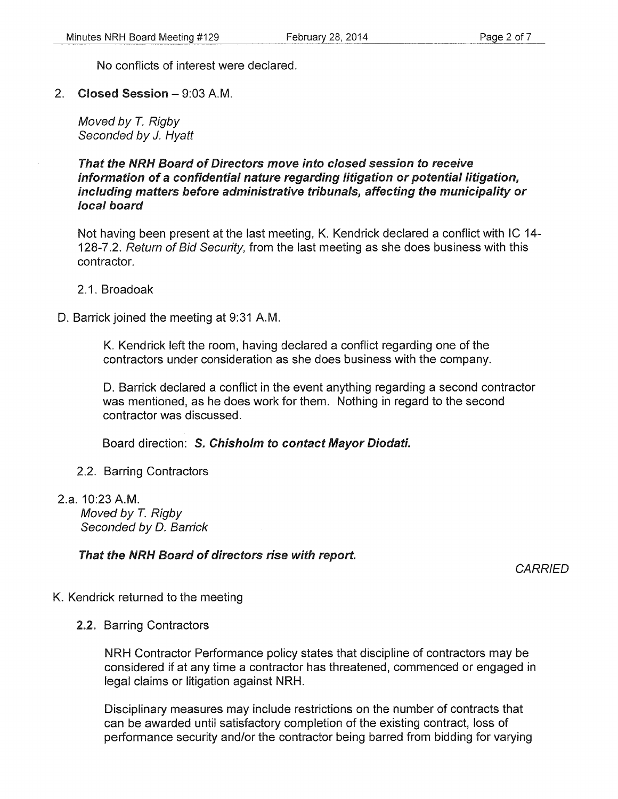No conflicts of interest were declared.

2. Closed Session-9:03A.M.

Moved by *T.* Rigby Seconded by J. Hyatt

That the NRH Board of Directors move into closed session to receive information of a confidential nature regarding litigation or potential litigation, including matters before administrative tribunals, affecting the municipality or local board

Not having been present at the last meeting, K. Kendrick declared a conflict with IC 14- 128-7.2. Return of Bid Security, from the last meeting as she does business with this contractor.

2.1. Broadoak

D. Barrick joined the meeting at 9:31 A.M.

K. Kendrick left the room, having declared a conflict regarding one of the contractors under consideration as she does business with the company.

D. Barrick declared a conflict in the event anything regarding a second contractor was mentioned, as he does work for them. Nothing in regard to the second contractor was discussed.

Board direction: S. Chisholm to contact Mayor Diodati.

- 2.2. Barring Contractors
- 2.a. 10:23 A.M. Moved by *T.* Rigby Seconded by D. Barrick

That the NRH Board of directors rise with report.

**CARRIED** 

- K. Kendrick returned to the meeting
	- 2.2. Barring Contractors

NRH Contractor Performance policy states that discipline of contractors may be considered if at any time a contractor has threatened, commenced or engaged in legal claims or litigation against NRH.

Disciplinary measures may include restrictions on the number of contracts that can be awarded until satisfactory completion of the existing contract, loss of performance security and/or the contractor being barred from bidding for varying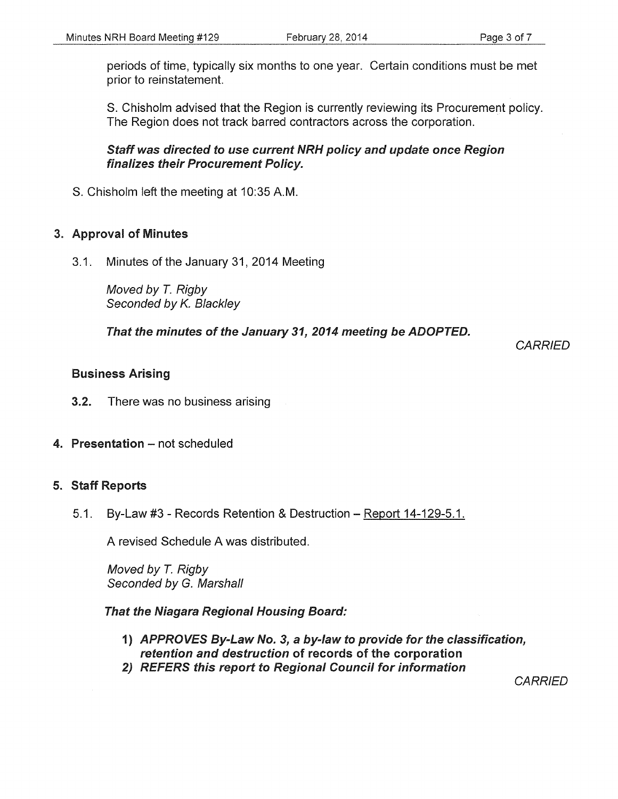periods of time, typically six months to one year. Certain conditions must be met prior to reinstatement.

S. Chisholm advised that the Region is currently reviewing its Procurement policy. The Region does not track barred contractors across the corporation.

Staff was directed to use current NRH policy and update once Region finalizes their Procurement Policy.

S. Chisholm left the meeting at 10:35 A.M.

#### 3. Approval of Minutes

3.1. Minutes of the January 31, 2014 Meeting

Moved by T. Rigby Seconded by K. Blackley

That the minutes of the January 31, 2014 meeting be ADOPTED.

**CARRIED** 

#### Business Arising

- 3.2. There was no business arising
- 4. Presentation not scheduled

#### 5. Staff Reports

5.1. By-Law #3 - Records Retention & Destruction- Report 14-129-5.1.

A revised Schedule A was distributed.

Moved by T. Rigby Seconded by G. Marshall

That the Niagara Regional Housing Board:

- 1) APPROVES By-Law No. 3, a by-law to provide for the classification, retention and destruction of records of the corporation
- 2) REFERS this report to Regional Council for information

**CARRIED**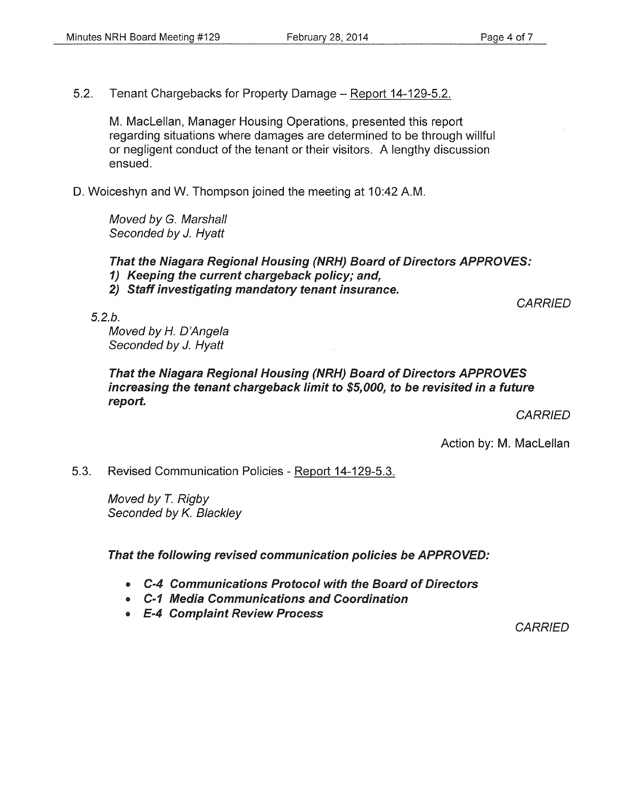5.2. Tenant Chargebacks for Property Damage - Report 14-129-5.2.

M. Maclellan, Manager Housing Operations, presented this report regarding situations where damages are determined to be through willful or negligent conduct of the tenant or their visitors. A lengthy discussion ensued.

D. Woiceshyn and W. Thompson joined the meeting at 10:42 A.M.

Moved by G. Marshall Seconded by J. Hyatt

That the Niagara Regional Housing (NRH) Board of Directors APPROVES:

- 1) Keeping the current chargeback policy; and,
- 2) Staff investigating mandatory tenant insurance.

5.2.b.

Moved by H. D'Angela Seconded by *J.* Hyatt

That the Niagara Regional Housing (NRH) Board of Directors APPROVES increasing the tenant chargeback limit to \$5,000, to be revisited in a future report.

**CARRIED** 

**CARRIED** 

Action by: M. Maclellan

5.3. Revised Communication Policies- Report 14-129-5.3.

Moved by *T.* Rigby Seconded by K. Blackley

That the following revised communication policies be APPROVED:

- C-4 Communications Protocol with the Board of Directors
- C-1 Media Communications and Coordination
- E-4 Complaint Review Process

**CARRIED**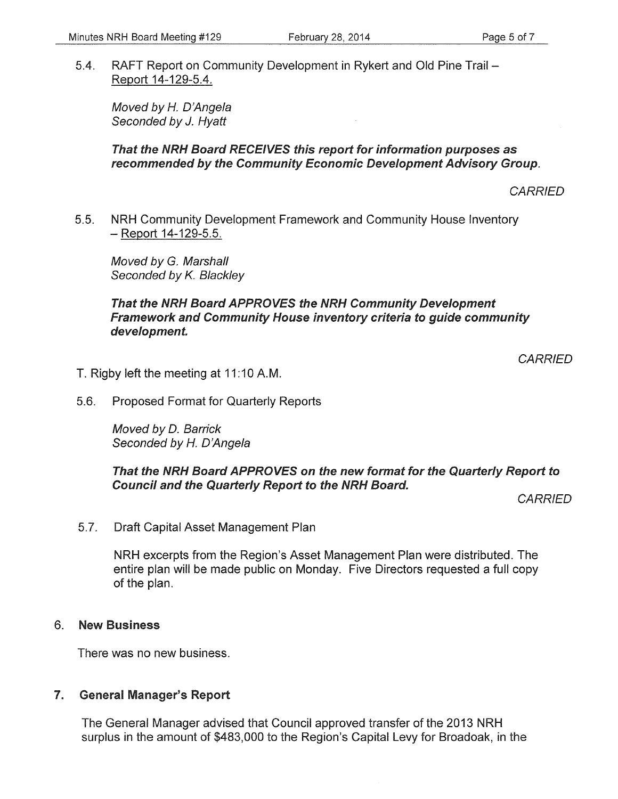5.4. RAFT Report on Community Development in Rykert and Old Pine Trail - Report 14-129-5.4.

Moved by *H.* D'Angela Seconded by J. Hyatt

#### That the NRH Board RECEIVES this report for information purposes as recommended by the Community Economic Development Advisory Group.

**CARRIED** 

5.5. NRH Community Development Framework and Community House Inventory -Report 14-129-5.5.

Moved by G. Marshall Seconded by K. Blackley

#### That the NRH Board APPROVES the NRH Community Development Framework and Community House inventory criteria to guide community development.

**CARRIED** 

- T. Rigby left the meeting at 11:10 A.M.
- 5.6. Proposed Format for Quarterly Reports

Moved by D. Barrick Seconded by *H.* D'Angela

#### That the NRH Board APPROVES on the new format for the Quarterly Report to Council and the Quarterly Report to the NRH Board.

**CARRIED** 

5.7. Draft Capital Asset Management Plan

NRH excerpts from the Region's Asset Management Plan were distributed. The entire pian will be made public on Monday. Five Directors requested a full copy of the plan.

#### 6. New Business

There was no new business.

#### 7. General Manager's Report

The General Manager advised that Council approved transfer of the 2013 NRH surplus in the amount of \$483,000 to the Region's Capital Levy for Broadoak, in the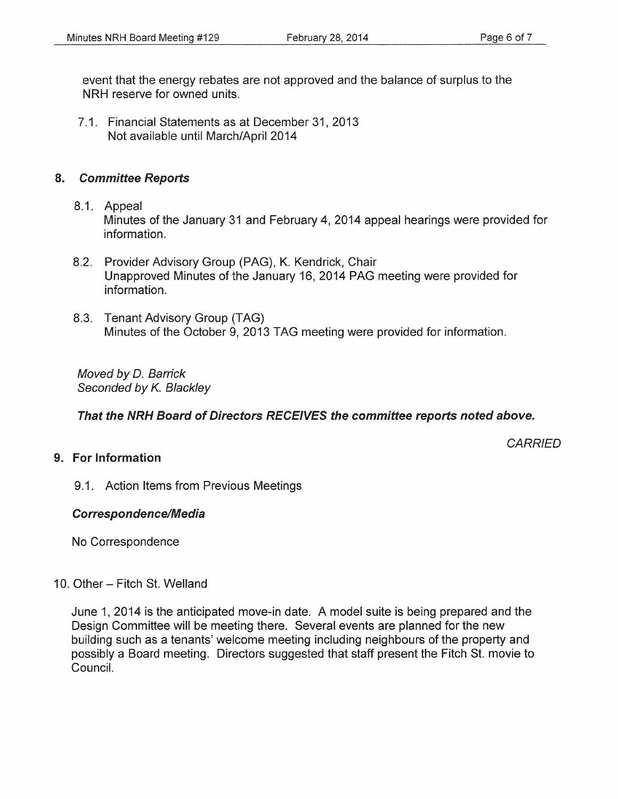event that the energy rebates are not approved and the balance of surplus to the NRH reserve for owned units.

7 .1. Financial Statements as at December 31 , 2013 Not available until March/April 2014

#### 8. Committee Reports

- 8.1. Appeal Minutes of the January 31 and February 4, 2014 appeal hearings were provided for information.
- 8.2. Provider Advisory Group (PAG), K. Kendrick, Chair Unapproved Minutes of the January 16, 2014 PAG meeting were provided for information.
- 8.3. Tenant Advisory Group (TAG) Minutes of the October 9, 2013 TAG meeting were provided for information.

Moved by D. Barrick Seconded by *K.* Blackley

#### That the NRH Board of Directors RECEIVES the committee reports noted above.

**CARRIED** 

## 9. For Information

9.1 . Action Items from Previous Meetings

#### Correspondence/Media

No Correspondence

#### 10. Other- Fitch St. Weiland

June 1, 2014 is the anticipated move-in date. A model suite is being prepared and the Design Committee will be meeting there. Several events are planned for the new building such as a tenants' welcome meeting including neighbours of the property and possibly a Board meeting. Directors suggested that staff present the Fitch St. movie to Council.